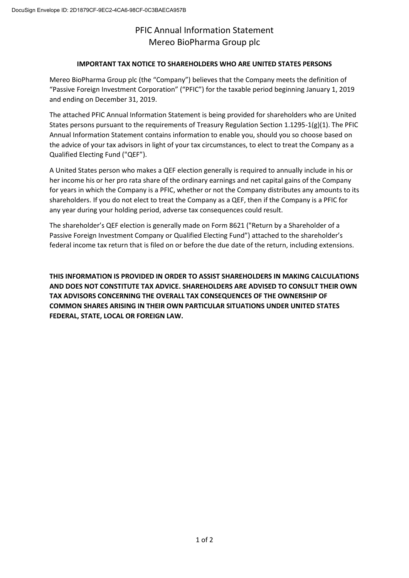## PFIC Annual Information Statement Mereo BioPharma Group plc

## **IMPORTANT TAX NOTICE TO SHAREHOLDERS WHO ARE UNITED STATES PERSONS**

Mereo BioPharma Group plc (the "Company") believes that the Company meets the definition of "Passive Foreign Investment Corporation" ("PFIC") for the taxable period beginning January 1, 2019 and ending on December 31, 2019.

The attached PFIC Annual Information Statement is being provided for shareholders who are United States persons pursuant to the requirements of Treasury Regulation Section 1.1295-1(g)(1). The PFIC Annual Information Statement contains information to enable you, should you so choose based on the advice of your tax advisors in light of your tax circumstances, to elect to treat the Company as a Qualified Electing Fund ("QEF").

A United States person who makes a QEF election generally is required to annually include in his or her income his or her pro rata share of the ordinary earnings and net capital gains of the Company for years in which the Company is a PFIC, whether or not the Company distributes any amounts to its shareholders. If you do not elect to treat the Company as a QEF, then if the Company is a PFIC for any year during your holding period, adverse tax consequences could result.

The shareholder's QEF election is generally made on Form 8621 ("Return by a Shareholder of a Passive Foreign Investment Company or Qualified Electing Fund") attached to the shareholder's federal income tax return that is filed on or before the due date of the return, including extensions.

**THIS INFORMATION IS PROVIDED IN ORDER TO ASSIST SHAREHOLDERS IN MAKING CALCULATIONS AND DOES NOT CONSTITUTE TAX ADVICE. SHAREHOLDERS ARE ADVISED TO CONSULT THEIR OWN TAX ADVISORS CONCERNING THE OVERALL TAX CONSEQUENCES OF THE OWNERSHIP OF COMMON SHARES ARISING IN THEIR OWN PARTICULAR SITUATIONS UNDER UNITED STATES FEDERAL, STATE, LOCAL OR FOREIGN LAW.**